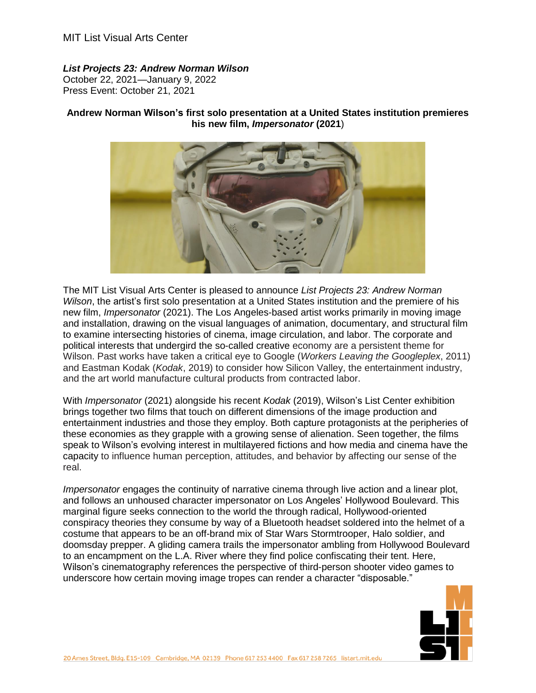## *List Projects 23: Andrew Norman Wilson*

October 22, 2021—January 9, 2022 Press Event: October 21, 2021

## **Andrew Norman Wilson's first solo presentation at a United States institution premieres his new film,** *Impersonator* **(2021**)



The MIT List Visual Arts Center is pleased to announce *List Projects 23: Andrew Norman Wilson*, the artist's first solo presentation at a United States institution and the premiere of his new film, *Impersonator* (2021). The Los Angeles-based artist works primarily in moving image and installation, drawing on the visual languages of animation, documentary, and structural film to examine intersecting histories of cinema, image circulation, and labor. The corporate and political interests that undergird the so-called creative economy are a persistent theme for Wilson. Past works have taken a critical eye to Google (*Workers Leaving the Googleplex*, 2011) and Eastman Kodak (*Kodak*, 2019) to consider how Silicon Valley, the entertainment industry, and the art world manufacture cultural products from contracted labor.

With *Impersonator* (2021) alongside his recent *Kodak* (2019), Wilson's List Center exhibition brings together two films that touch on different dimensions of the image production and entertainment industries and those they employ. Both capture protagonists at the peripheries of these economies as they grapple with a growing sense of alienation. Seen together, the films speak to Wilson's evolving interest in multilayered fictions and how media and cinema have the capacity to influence human perception, attitudes, and behavior by affecting our sense of the real.

*Impersonator* engages the continuity of narrative cinema through live action and a linear plot, and follows an unhoused character impersonator on Los Angeles' Hollywood Boulevard. This marginal figure seeks connection to the world the through radical, Hollywood-oriented conspiracy theories they consume by way of a Bluetooth headset soldered into the helmet of a costume that appears to be an off-brand mix of Star Wars Stormtrooper, Halo soldier, and doomsday prepper. A gliding camera trails the impersonator ambling from Hollywood Boulevard to an encampment on the L.A. River where they find police confiscating their tent. Here, Wilson's cinematography references the perspective of third-person shooter video games to underscore how certain moving image tropes can render a character "disposable."